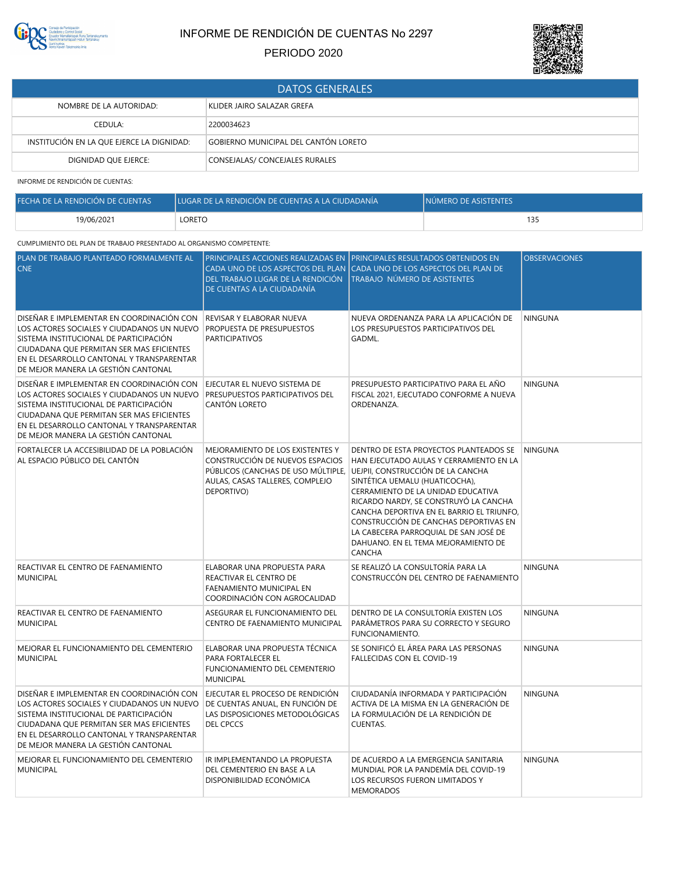

## INFORME DE RENDICIÓN DE CUENTAS No 2297

PERIODO 2020



| <b>DATOS GENERALES</b>                    |                                      |  |
|-------------------------------------------|--------------------------------------|--|
| NOMBRE DE LA AUTORIDAD:                   | KLIDER JAIRO SALAZAR GREFA           |  |
| CEDULA:                                   | 2200034623                           |  |
| INSTITUCIÓN EN LA QUE EJERCE LA DIGNIDAD: | GOBIERNO MUNICIPAL DEL CANTÓN LORETO |  |
| DIGNIDAD OUE EJERCE:                      | CONSEJALAS/ CONCEJALES RURALES       |  |

INFORME DE RENDICIÓN DE CUENTAS:

| FECHA DE LA RENDICIÓN DE CUENTAS | LUGAR DE LA RENDICIÓN DE CUENTAS A LA CIUDADANÍA | INÚMERO DE ASISTENTES |
|----------------------------------|--------------------------------------------------|-----------------------|
| 19/06/2021                       | LORETO                                           | 13!                   |

## CUMPLIMIENTO DEL PLAN DE TRABAJO PRESENTADO AL ORGANISMO COMPETENTE:

| PLAN DE TRABAJO PLANTEADO FORMALMENTE AL<br><b>CNE</b>                                                                                                                                                                                                             | DEL TRABAJO LUGAR DE LA RENDICIÓN<br>DE CUENTAS A LA CIUDADANÍA                                                                                                                              | PRINCIPALES ACCIONES REALIZADAS EN PRINCIPALES RESULTADOS OBTENIDOS EN<br>CADA UNO DE LOS ASPECTOS DEL PLAN CADA UNO DE LOS ASPECTOS DEL PLAN DE<br>TRABAJO NÚMERO DE ASISTENTES                                                                                                                                                                                                   | <b>OBSERVACIONES</b> |
|--------------------------------------------------------------------------------------------------------------------------------------------------------------------------------------------------------------------------------------------------------------------|----------------------------------------------------------------------------------------------------------------------------------------------------------------------------------------------|------------------------------------------------------------------------------------------------------------------------------------------------------------------------------------------------------------------------------------------------------------------------------------------------------------------------------------------------------------------------------------|----------------------|
| DISEÑAR E IMPLEMENTAR EN COORDINACIÓN CON<br>LOS ACTORES SOCIALES Y CIUDADANOS UN NUEVO<br>SISTEMA INSTITUCIONAL DE PARTICIPACIÓN<br>CIUDADANA QUE PERMITAN SER MAS EFICIENTES<br>EN EL DESARROLLO CANTONAL Y TRANSPARENTAR<br>DE MEJOR MANERA LA GESTIÓN CANTONAL | REVISAR Y ELABORAR NUEVA<br>PROPUESTA DE PRESUPUESTOS<br><b>PARTICIPATIVOS</b>                                                                                                               | NUEVA ORDENANZA PARA LA APLICACIÓN DE<br>LOS PRESUPUESTOS PARTICIPATIVOS DEL<br>GADML.                                                                                                                                                                                                                                                                                             | <b>NINGUNA</b>       |
| DISEÑAR E IMPLEMENTAR EN COORDINACIÓN CON<br>LOS ACTORES SOCIALES Y CIUDADANOS UN NUEVO<br>SISTEMA INSTITUCIONAL DE PARTICIPACIÓN<br>CIUDADANA QUE PERMITAN SER MAS EFICIENTES<br>EN EL DESARROLLO CANTONAL Y TRANSPARENTAR<br>DE MEJOR MANERA LA GESTIÓN CANTONAL | EJECUTAR EL NUEVO SISTEMA DE<br>PRESUPUESTOS PARTICIPATIVOS DEL<br>CANTÓN LORETO                                                                                                             | PRESUPUESTO PARTICIPATIVO PARA EL AÑO<br>FISCAL 2021, EJECUTADO CONFORME A NUEVA<br>ORDENANZA.                                                                                                                                                                                                                                                                                     | <b>NINGUNA</b>       |
| FORTALECER LA ACCESIBILIDAD DE LA POBLACIÓN<br>AL ESPACIO PÚBLICO DEL CANTÓN                                                                                                                                                                                       | MEJORAMIENTO DE LOS EXISTENTES Y<br>CONSTRUCCIÓN DE NUEVOS ESPACIOS<br>PÚBLICOS (CANCHAS DE USO MÚLTIPLE, UEJPII, CONSTRUCCIÓN DE LA CANCHA<br>AULAS, CASAS TALLERES, COMPLEJO<br>DEPORTIVO) | DENTRO DE ESTA PROYECTOS PLANTEADOS SE<br>HAN EJECUTADO AULAS Y CERRAMIENTO EN LA<br>SINTÉTICA UEMALU (HUATICOCHA),<br>CERRAMIENTO DE LA UNIDAD EDUCATIVA<br>RICARDO NARDY, SE CONSTRUYÓ LA CANCHA<br>CANCHA DEPORTIVA EN EL BARRIO EL TRIUNFO,<br>CONSTRUCCIÓN DE CANCHAS DEPORTIVAS EN<br>LA CABECERA PARROQUIAL DE SAN JOSÉ DE<br>DAHUANO. EN EL TEMA MEJORAMIENTO DE<br>CANCHA | <b>NINGUNA</b>       |
| REACTIVAR EL CENTRO DE FAENAMIENTO<br><b>MUNICIPAL</b>                                                                                                                                                                                                             | ELABORAR UNA PROPUESTA PARA<br>REACTIVAR EL CENTRO DE<br>FAENAMIENTO MUNICIPAL EN<br>COORDINACIÓN CON AGROCALIDAD                                                                            | SE REALIZÓ LA CONSULTORÍA PARA LA<br>CONSTRUCCÓN DEL CENTRO DE FAENAMIENTO                                                                                                                                                                                                                                                                                                         | <b>NINGUNA</b>       |
| REACTIVAR EL CENTRO DE FAENAMIENTO<br><b>MUNICIPAL</b>                                                                                                                                                                                                             | ASEGURAR EL FUNCIONAMIENTO DEL<br>CENTRO DE FAENAMIENTO MUNICIPAL                                                                                                                            | DENTRO DE LA CONSULTORÍA EXISTEN LOS<br>PARÁMETROS PARA SU CORRECTO Y SEGURO<br>FUNCIONAMIENTO.                                                                                                                                                                                                                                                                                    | <b>NINGUNA</b>       |
| MEJORAR EL FUNCIONAMIENTO DEL CEMENTERIO<br><b>MUNICIPAL</b>                                                                                                                                                                                                       | ELABORAR UNA PROPUESTA TÉCNICA<br>PARA FORTALECER EL<br>FUNCIONAMIENTO DEL CEMENTERIO<br><b>MUNICIPAL</b>                                                                                    | SE SONIFICÓ EL ÁREA PARA LAS PERSONAS<br>FALLECIDAS CON EL COVID-19                                                                                                                                                                                                                                                                                                                | <b>NINGUNA</b>       |
| DISEÑAR E IMPLEMENTAR EN COORDINACIÓN CON<br>LOS ACTORES SOCIALES Y CIUDADANOS UN NUEVO<br>SISTEMA INSTITUCIONAL DE PARTICIPACIÓN<br>CIUDADANA QUE PERMITAN SER MAS EFICIENTES<br>EN EL DESARROLLO CANTONAL Y TRANSPARENTAR<br>DE MEJOR MANERA LA GESTIÓN CANTONAL | EJECUTAR EL PROCESO DE RENDICIÓN<br>DE CUENTAS ANUAL, EN FUNCIÓN DE<br>LAS DISPOSICIONES METODOLÓGICAS<br><b>DEL CPCCS</b>                                                                   | CIUDADANÍA INFORMADA Y PARTICIPACIÓN<br>ACTIVA DE LA MISMA EN LA GENERACIÓN DE<br>LA FORMULACIÓN DE LA RENDICIÓN DE<br><b>CUENTAS.</b>                                                                                                                                                                                                                                             | <b>NINGUNA</b>       |
| MEJORAR EL FUNCIONAMIENTO DEL CEMENTERIO<br><b>MUNICIPAL</b>                                                                                                                                                                                                       | IR IMPLEMENTANDO LA PROPUESTA<br>DEL CEMENTERIO EN BASE A LA<br>DISPONIBILIDAD ECONÓMICA                                                                                                     | DE ACUERDO A LA EMERGENCIA SANITARIA<br>MUNDIAL POR LA PANDEMÍA DEL COVID-19<br>LOS RECURSOS FUERON LIMITADOS Y<br><b>MEMORADOS</b>                                                                                                                                                                                                                                                | <b>NINGUNA</b>       |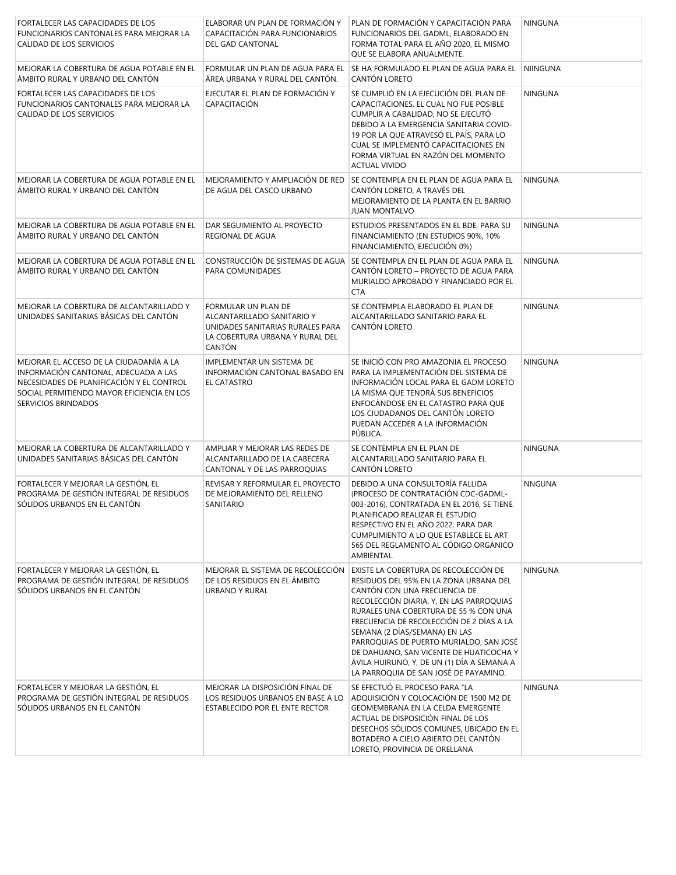| FORTALECER LAS CAPACIDADES DE LOS<br>FUNCIONARIOS CANTONALES PARA MEJORAR LA<br>CALIDAD DE LOS SERVICIOS                                                                                          | ELABORAR UN PLAN DE FORMACIÓN Y<br>CAPACITACIÓN PARA FUNCIONARIOS<br><b>DEL GAD CANTONAL</b>                                       | PLAN DE FORMACIÓN Y CAPACITACIÓN PARA<br>FUNCIONARIOS DEL GADML, ELABORADO EN<br>FORMA TOTAL PARA EL AÑO 2020, EL MISMO<br>QUE SE ELABORA ANUALMENTE.                                                                                                                                                                                                                                                                                                          | <b>NINGUNA</b> |
|---------------------------------------------------------------------------------------------------------------------------------------------------------------------------------------------------|------------------------------------------------------------------------------------------------------------------------------------|----------------------------------------------------------------------------------------------------------------------------------------------------------------------------------------------------------------------------------------------------------------------------------------------------------------------------------------------------------------------------------------------------------------------------------------------------------------|----------------|
| MEJORAR LA COBERTURA DE AGUA POTABLE EN EL<br>ÁMBITO RURAL Y URBANO DEL CANTÓN                                                                                                                    | FORMULAR UN PLAN DE AGUA PARA EL<br>ÁREA URBANA Y RURAL DEL CANTÓN.                                                                | SE HA FORMULADO EL PLAN DE AGUA PARA EL<br>CANTÓN LORETO                                                                                                                                                                                                                                                                                                                                                                                                       | NIINGUNA       |
| FORTALECER LAS CAPACIDADES DE LOS<br>FUNCIONARIOS CANTONALES PARA MEJORAR LA<br>CALIDAD DE LOS SERVICIOS                                                                                          | EJECUTAR EL PLAN DE FORMACIÓN Y<br>CAPACITACIÓN                                                                                    | SE CUMPLIÓ EN LA EJECUCIÓN DEL PLAN DE<br>CAPACITACIONES, EL CUAL NO FUE POSIBLE<br>CUMPLIR A CABALIDAD, NO SE EJECUTÓ<br>DEBIDO A LA EMERGENCIA SANITARIA COVID-<br>19 POR LA QUE ATRAVESÓ EL PAÍS, PARA LO<br>CUAL SE IMPLEMENTÓ CAPACITACIONES EN<br>FORMA VIRTUAL EN RAZÓN DEL MOMENTO<br><b>ACTUAL VIVIDO</b>                                                                                                                                             | <b>NINGUNA</b> |
| MEJORAR LA COBERTURA DE AGUA POTABLE EN EL<br>ÁMBITO RURAL Y URBANO DEL CANTÓN                                                                                                                    | MEJORAMIENTO Y AMPLIACIÓN DE RED<br>DE AGUA DEL CASCO URBANO                                                                       | SE CONTEMPLA EN EL PLAN DE AGUA PARA EL<br>CANTÓN LORETO, A TRAVÉS DEL<br>MEJORAMIENTO DE LA PLANTA EN EL BARRIO<br><b>JUAN MONTALVO</b>                                                                                                                                                                                                                                                                                                                       | <b>NINGUNA</b> |
| MEJORAR LA COBERTURA DE AGUA POTABLE EN EL<br>ÁMBITO RURAL Y URBANO DEL CANTÓN                                                                                                                    | DAR SEGUIMIENTO AL PROYECTO<br>REGIONAL DE AGUA                                                                                    | ESTUDIOS PRESENTADOS EN EL BDE, PARA SU<br>FINANCIAMIENTO (EN ESTUDIOS 90%, 10%<br>FINANCIAMIENTO, EJECUCIÓN 0%)                                                                                                                                                                                                                                                                                                                                               | <b>NINGUNA</b> |
| MEJORAR LA COBERTURA DE AGUA POTABLE EN EL<br>ÁMBITO RURAL Y URBANO DEL CANTÓN                                                                                                                    | CONSTRUCCIÓN DE SISTEMAS DE AGUA<br>PARA COMUNIDADES                                                                               | SE CONTEMPLA EN EL PLAN DE AGUA PARA EL<br>CANTÓN LORETO - PROYECTO DE AGUA PARA<br>MURIALDO APROBADO Y FINANCIADO POR EL<br><b>CTA</b>                                                                                                                                                                                                                                                                                                                        | <b>NINGUNA</b> |
| MEJORAR LA COBERTURA DE ALCANTARILLADO Y<br>UNIDADES SANITARIAS BÁSICAS DEL CANTÓN                                                                                                                | FORMULAR UN PLAN DE<br>ALCANTARILLADO SANITARIO Y<br>UNIDADES SANITARIAS RURALES PARA<br>LA COBERTURA URBANA Y RURAL DEL<br>CANTÓN | SE CONTEMPLA ELABORADO EL PLAN DE<br>ALCANTARILLADO SANITARIO PARA EL<br>CANTÓN LORETO                                                                                                                                                                                                                                                                                                                                                                         | <b>NINGUNA</b> |
| MEJORAR EL ACCESO DE LA CIUDADANÍA A LA<br>INFORMACIÓN CANTONAL, ADECUADA A LAS<br>NECESIDADES DE PLANIFICACIÓN Y EL CONTROL<br>SOCIAL PERMITIENDO MAYOR EFICIENCIA EN LOS<br>SERVICIOS BRINDADOS | IMPLEMENTAR UN SISTEMA DE<br>INFORMACIÓN CANTONAL BASADO EN<br>EL CATASTRO                                                         | SE INICIÓ CON PRO AMAZONIA EL PROCESO<br>PARA LA IMPLEMENTACIÓN DEL SISTEMA DE<br>INFORMACIÓN LOCAL PARA EL GADM LORETO<br>LA MISMA QUE TENDRÁ SUS BENEFICIOS<br>ENFOCÁNDOSE EN EL CATASTRO PARA QUE<br>LOS CIUDADANOS DEL CANTÓN LORETO<br>PUEDAN ACCEDER A LA INFORMACIÓN<br>PÚBLICA.                                                                                                                                                                        | <b>NINGUNA</b> |
| MEJORAR LA COBERTURA DE ALCANTARILLADO Y<br>UNIDADES SANITARIAS BÁSICAS DEL CANTÓN                                                                                                                | AMPLIAR Y MEJORAR LAS REDES DE<br>ALCANTARILLADO DE LA CABECERA<br>CANTONAL Y DE LAS PARROQUIAS                                    | SE CONTEMPLA EN EL PLAN DE<br>ALCANTARILLADO SANITARIO PARA EL<br>CANTÓN LORETO                                                                                                                                                                                                                                                                                                                                                                                | <b>NINGUNA</b> |
| FORTALECER Y MEJORAR LA GESTIÓN, EL<br>PROGRAMA DE GESTIÓN INTEGRAL DE RESIDUOS<br>SÓLIDOS URBANOS EN EL CANTÓN                                                                                   | REVISAR Y REFORMULAR EL PROYECTO<br>DE MEJORAMIENTO DEL RELLENO<br>SANITARIO                                                       | DEBIDO A UNA CONSULTORÍA FALLIDA<br>(PROCESO DE CONTRATACIÓN CDC-GADML-<br>003-2016), CONTRATADA EN EL 2016, SE TIENE<br>PLANIFICADO REALIZAR EL ESTUDIO<br>RESPECTIVO EN EL AÑO 2022, PARA DAR<br>CUMPLIMIENTO A LO QUE ESTABLECE EL ART<br>565 DEL REGLAMENTO AL CÓDIGO ORGÁNICO<br>AMBIENTAL.                                                                                                                                                               | <b>NNGUNA</b>  |
| FORTALECER Y MEJORAR LA GESTIÓN. EL<br>PROGRAMA DE GESTIÓN INTEGRAL DE RESIDUOS<br>SÓLIDOS URBANOS EN EL CANTÓN                                                                                   | MEJORAR EL SISTEMA DE RECOLECCIÓN<br>DE LOS RESIDUOS EN EL ÁMBITO<br><b>URBANO Y RURAL</b>                                         | EXISTE LA COBERTURA DE RECOLECCIÓN DE<br>RESIDUOS DEL 95% EN LA ZONA URBANA DEL<br>CANTÓN CON UNA FRECUENCIA DE<br>RECOLECCIÓN DIARIA, Y, EN LAS PARROQUIAS<br>RURALES UNA COBERTURA DE 55 % CON UNA<br>FRECUENCIA DE RECOLECCIÓN DE 2 DÍAS A LA<br>SEMANA (2 DÍAS/SEMANA) EN LAS<br>PARROQUIAS DE PUERTO MURIALDO, SAN JOSÉ<br>DE DAHUANO, SAN VICENTE DE HUATICOCHA Y<br>ÁVILA HUIRUNO, Y, DE UN (1) DÍA A SEMANA A<br>LA PARROQUIA DE SAN JOSÉ DE PAYAMINO. | <b>NINGUNA</b> |
| FORTALECER Y MEJORAR LA GESTIÓN, EL<br>PROGRAMA DE GESTIÓN INTEGRAL DE RESIDUOS<br>SÓLIDOS URBANOS EN EL CANTÓN                                                                                   | MEJORAR LA DISPOSICIÓN FINAL DE<br>LOS RESIDUOS URBANOS EN BASE A LO<br>ESTABLECIDO POR EL ENTE RECTOR                             | SE EFECTUÓ EL PROCESO PARA "LA<br>ADQUISICIÓN Y COLOCACIÓN DE 1500 M2 DE<br>GEOMEMBRANA EN LA CELDA EMERGENTE<br>ACTUAL DE DISPOSICIÓN FINAL DE LOS<br>DESECHOS SÓLIDOS COMUNES, UBICADO EN EL<br>BOTADERO A CIELO ABIERTO DEL CANTÓN<br>LORETO, PROVINCIA DE ORELLANA                                                                                                                                                                                         | <b>NINGUNA</b> |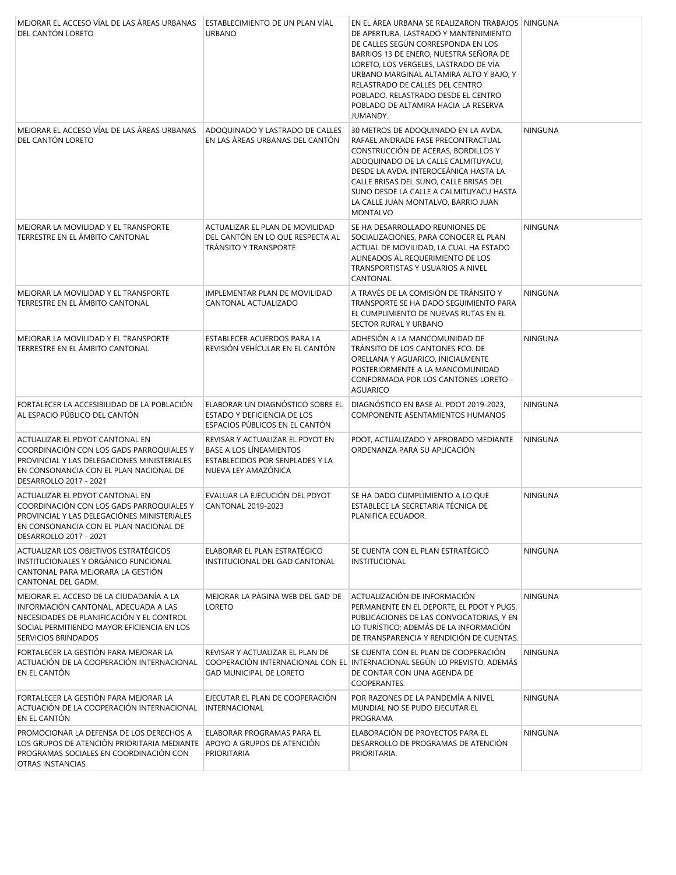| MEJORAR EL ACCESO VÍAL DE LAS ÁREAS URBANAS<br>DEL CANTÓN LORETO                                                                                                                                  | ESTABLECIMIENTO DE UN PLAN VÍAL<br><b>URBANO</b>                                                                      | EN EL ÁREA URBANA SE REALIZARON TRABAJOS NINGUNA<br>DE APERTURA, LASTRADO Y MANTENIMIENTO<br>DE CALLES SEGÚN CORRESPONDA EN LOS<br>BARRIOS 13 DE ENERO, NUESTRA SEÑORA DE<br>LORETO, LOS VERGELES, LASTRADO DE VÍA<br>URBANO MARGINAL ALTAMIRA ALTO Y BAJO, Y<br>RELASTRADO DE CALLES DEL CENTRO<br>POBLADO, RELASTRADO DESDE EL CENTRO<br>POBLADO DE ALTAMIRA HACIA LA RESERVA<br>JUMANDY. |                |
|---------------------------------------------------------------------------------------------------------------------------------------------------------------------------------------------------|-----------------------------------------------------------------------------------------------------------------------|---------------------------------------------------------------------------------------------------------------------------------------------------------------------------------------------------------------------------------------------------------------------------------------------------------------------------------------------------------------------------------------------|----------------|
| MEJORAR EL ACCESO VÍAL DE LAS ÁREAS URBANAS<br>DEL CANTÓN LORETO                                                                                                                                  | ADOQUINADO Y LASTRADO DE CALLES<br>EN LAS ÁREAS URBANAS DEL CANTÓN                                                    | 30 METROS DE ADOQUINADO EN LA AVDA.<br>RAFAEL ANDRADE FASE PRECONTRACTUAL<br>CONSTRUCCIÓN DE ACERAS, BORDILLOS Y<br>ADOQUINADO DE LA CALLE CALMITUYACU,<br>DESDE LA AVDA. INTEROCEÁNICA HASTA LA<br>CALLE BRISAS DEL SUNO, CALLE BRISAS DEL<br>SUNO DESDE LA CALLE A CALMITUYACU HASTA<br>LA CALLE JUAN MONTALVO, BARRIO JUAN<br><b>MONTALVO</b>                                            | <b>NINGUNA</b> |
| MEJORAR LA MOVILIDAD Y EL TRANSPORTE<br>TERRESTRE EN EL ÁMBITO CANTONAL                                                                                                                           | ACTUALIZAR EL PLAN DE MOVILIDAD<br>DEL CANTÓN EN LO QUE RESPECTA AL<br><b>TRÁNSITO Y TRANSPORTE</b>                   | SE HA DESARROLLADO REUNIONES DE<br>SOCIALIZACIONES, PARA CONOCER EL PLAN<br>ACTUAL DE MOVILIDAD, LA CUAL HA ESTADO<br>ALINEADOS AL REQUERIMIENTO DE LOS<br>TRANSPORTISTAS Y USUARIOS A NIVEL<br>CANTONAL.                                                                                                                                                                                   | <b>NINGUNA</b> |
| MEJORAR LA MOVILIDAD Y EL TRANSPORTE<br>TERRESTRE EN EL ÁMBITO CANTONAL                                                                                                                           | <b>IMPLEMENTAR PLAN DE MOVILIDAD</b><br>CANTONAL ACTUALIZADO                                                          | A TRAVÉS DE LA COMISIÓN DE TRÁNSITO Y<br>TRANSPORTE SE HA DADO SEGUIMIENTO PARA<br>EL CUMPLIMIENTO DE NUEVAS RUTAS EN EL<br>SECTOR RURAL Y URBANO                                                                                                                                                                                                                                           | <b>NINGUNA</b> |
| MEJORAR LA MOVILIDAD Y EL TRANSPORTE<br>TERRESTRE EN EL ÁMBITO CANTONAL                                                                                                                           | ESTABLECER ACUERDOS PARA LA<br>REVISIÓN VEHÍCULAR EN EL CANTÓN                                                        | ADHESIÓN A LA MANCOMUNIDAD DE<br>TRÁNSITO DE LOS CANTONES FCO. DE<br>ORELLANA Y AGUARICO, INICIALMENTE<br>POSTERIORMENTE A LA MANCOMUNIDAD<br>CONFORMADA POR LOS CANTONES LORETO -<br>AGUARICO                                                                                                                                                                                              | <b>NINGUNA</b> |
| FORTALECER LA ACCESIBILIDAD DE LA POBLACIÓN<br>AL ESPACIO PÚBLICO DEL CANTÓN                                                                                                                      | ELABORAR UN DIAGNÓSTICO SOBRE EL<br>ESTADO Y DEFICIENCIA DE LOS<br>ESPACIOS PÚBLICOS EN EL CANTÓN                     | DIAGNÓSTICO EN BASE AL PDOT 2019-2023,<br>COMPONENTE ASENTAMIENTOS HUMANOS                                                                                                                                                                                                                                                                                                                  | <b>NINGUNA</b> |
| ACTUALIZAR EL PDYOT CANTONAL EN<br>COORDINACIÓN CON LOS GADS PARROQUIALES Y<br>PROVINCIAL Y LAS DELEGACIONES MINISTERIALES<br>EN CONSONANCIA CON EL PLAN NACIONAL DE<br>DESARROLLO 2017 - 2021    | REVISAR Y ACTUALIZAR EL PDYOT EN<br>BASE A LOS LÍNEAMIENTOS<br>ESTABLECIDOS POR SENPLADES Y LA<br>NUEVA LEY AMAZÓNICA | PDOT, ACTUALIZADO Y APROBADO MEDIANTE<br>ORDENANZA PARA SU APLICACIÓN                                                                                                                                                                                                                                                                                                                       | <b>NINGUNA</b> |
| ACTUALIZAR EL PDYOT CANTONAL EN<br>COORDINACIÓN CON LOS GADS PARROQUIALES Y<br>PROVINCIAL Y LAS DELEGACIÓNES MINISTERIALES<br>EN CONSONANCIA CON EL PLAN NACIONAL DE<br>DESARROLLO 2017 - 2021    | EVALUAR LA EJECUCIÓN DEL PDYOT<br>CANTONAL 2019-2023                                                                  | SE HA DADO CUMPLIMIENTO A LO QUE<br>ESTABLECE LA SECRETARIA TÉCNICA DE<br>PLANIFICA ECUADOR.                                                                                                                                                                                                                                                                                                | <b>NINGUNA</b> |
| ACTUALIZAR LOS OBJETIVOS ESTRATÉGICOS<br>INSTITUCIONALES Y ORGÁNICO FUNCIONAL<br>CANTONAL PARA MEJORARA LA GESTIÓN<br>CANTONAL DEL GADM.                                                          | ELABORAR EL PLAN ESTRATÉGICO<br>INSTITUCIONAL DEL GAD CANTONAL                                                        | SE CUENTA CON EL PLAN ESTRATÉGICO<br><b>INSTITUCIONAL</b>                                                                                                                                                                                                                                                                                                                                   | <b>NINGUNA</b> |
| MEJORAR EL ACCESO DE LA CIUDADANÍA A LA<br>INFORMACIÓN CANTONAL, ADECUADA A LAS<br>NECESIDADES DE PLANIFICACIÓN Y EL CONTROL<br>SOCIAL PERMITIENDO MAYOR EFICIENCIA EN LOS<br>SERVICIOS BRINDADOS | MEJORAR LA PÁGINA WEB DEL GAD DE<br>LORETO                                                                            | ACTUALIZACIÓN DE INFORMACIÓN<br>PERMANENTE EN EL DEPORTE, EL PDOT Y PUGS,<br>PUBLICACIONES DE LAS CONVOCATORIAS, Y EN<br>LO TURÍSTICO; ADEMÁS DE LA INFORMACIÓN<br>DE TRANSPARENCIA Y RENDICIÓN DE CUENTAS.                                                                                                                                                                                 | <b>NINGUNA</b> |
| FORTALECER LA GESTIÓN PARA MEJORAR LA<br>ACTUACIÓN DE LA COOPERACIÓN INTERNACIONAL<br>EN EL CANTÓN                                                                                                | REVISAR Y ACTUALIZAR EL PLAN DE<br><b>GAD MUNICIPAL DE LORETO</b>                                                     | SE CUENTA CON EL PLAN DE COOPERACIÓN<br>COOPERACIÓN INTERNACIONAL CON EL INTERNACIONAL SEGÚN LO PREVISTO, ADEMÁS<br>DE CONTAR CON UNA AGENDA DE<br>COOPERANTES.                                                                                                                                                                                                                             | <b>NINGUNA</b> |
| FORTALECER LA GESTIÓN PARA MEJORAR LA<br>ACTUACIÓN DE LA COOPERACIÓN INTERNACIONAL<br>EN EL CANTÓN                                                                                                | EJECUTAR EL PLAN DE COOPERACIÓN<br>INTERNACIONAL                                                                      | POR RAZONES DE LA PANDEMÍA A NIVEL<br>MUNDIAL NO SE PUDO EJECUTAR EL<br>PROGRAMA                                                                                                                                                                                                                                                                                                            | <b>NINGUNA</b> |
| PROMOCIONAR LA DEFENSA DE LOS DERECHOS A<br>LOS GRUPOS DE ATENCIÓN PRIORITARIA MEDIANTE<br>PROGRAMAS SOCIALES EN COORDINACIÓN CON<br>OTRAS INSTANCIAS                                             | ELABORAR PROGRAMAS PARA EL<br>APOYO A GRUPOS DE ATENCIÓN<br>PRIORITARIA                                               | ELABORACIÓN DE PROYECTOS PARA EL<br>DESARROLLO DE PROGRAMAS DE ATENCIÓN<br>PRIORITARIA.                                                                                                                                                                                                                                                                                                     | <b>NINGUNA</b> |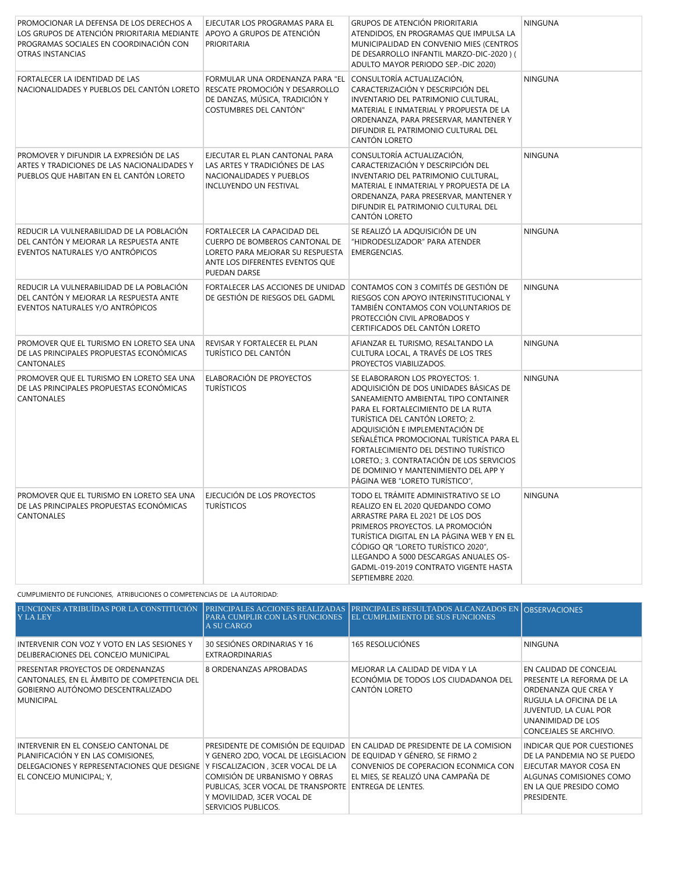| PROMOCIONAR LA DEFENSA DE LOS DERECHOS A<br>LOS GRUPOS DE ATENCIÓN PRIORITARIA MEDIANTE<br>PROGRAMAS SOCIALES EN COORDINACIÓN CON<br><b>OTRAS INSTANCIAS</b> | EJECUTAR LOS PROGRAMAS PARA EL<br>APOYO A GRUPOS DE ATENCIÓN<br>PRIORITARIA                                                                          | GRUPOS DE ATENCIÓN PRIORITARIA<br>ATENDIDOS, EN PROGRAMAS QUE IMPULSA LA<br>MUNICIPALIDAD EN CONVENIO MIES (CENTROS<br>DE DESARROLLO INFANTIL MARZO-DIC-2020) (<br>ADULTO MAYOR PERIODO SEP.-DIC 2020)                                                                                                                                                                                                                                    | <b>NINGUNA</b> |
|--------------------------------------------------------------------------------------------------------------------------------------------------------------|------------------------------------------------------------------------------------------------------------------------------------------------------|-------------------------------------------------------------------------------------------------------------------------------------------------------------------------------------------------------------------------------------------------------------------------------------------------------------------------------------------------------------------------------------------------------------------------------------------|----------------|
| FORTALECER LA IDENTIDAD DE LAS<br>NACIONALIDADES Y PUEBLOS DEL CANTÓN LORETO                                                                                 | FORMULAR UNA ORDENANZA PARA "EL<br>RESCATE PROMOCIÓN Y DESARROLLO<br>DE DANZAS, MÚSICA, TRADICIÓN Y<br>COSTUMBRES DEL CANTÓN"                        | CONSULTORÍA ACTUALIZACIÓN,<br>CARACTERIZACIÓN Y DESCRIPCIÓN DEL<br>INVENTARIO DEL PATRIMONIO CULTURAL,<br>MATERIAL E INMATERIAL Y PROPUESTA DE LA<br>ORDENANZA, PARA PRESERVAR, MANTENER Y<br>DIFUNDIR EL PATRIMONIO CULTURAL DEL<br>CANTÓN LORETO                                                                                                                                                                                        | <b>NINGUNA</b> |
| PROMOVER Y DIFUNDIR LA EXPRESIÓN DE LAS<br>ARTES Y TRADICIONES DE LAS NACIONALIDADES Y<br>PUEBLOS QUE HABITAN EN EL CANTÓN LORETO                            | EJECUTAR EL PLAN CANTONAL PARA<br>LAS ARTES Y TRADICIÓNES DE LAS<br>NACIONALIDADES Y PUEBLOS<br>INCLUYENDO UN FESTIVAL                               | CONSULTORÍA ACTUALIZACIÓN,<br>CARACTERIZACIÓN Y DESCRIPCIÓN DEL<br>INVENTARIO DEL PATRIMONIO CULTURAL,<br>MATERIAL E INMATERIAL Y PROPUESTA DE LA<br>ORDENANZA, PARA PRESERVAR, MANTENER Y<br>DIFUNDIR EL PATRIMONIO CULTURAL DEL<br>CANTÓN LORETO                                                                                                                                                                                        | <b>NINGUNA</b> |
| REDUCIR LA VULNERABILIDAD DE LA POBLACIÓN<br>DEL CANTÓN Y MEJORAR LA RESPUESTA ANTE<br>EVENTOS NATURALES Y/O ANTRÓPICOS                                      | FORTALECER LA CAPACIDAD DEL<br>CUERPO DE BOMBEROS CANTONAL DE<br>LORETO PARA MEJORAR SU RESPUESTA<br>ANTE LOS DIFERENTES EVENTOS QUE<br>PUEDAN DARSE | SE REALIZÓ LA ADQUISICIÓN DE UN<br>"HIDRODESLIZADOR" PARA ATENDER<br><b>EMERGENCIAS.</b>                                                                                                                                                                                                                                                                                                                                                  | <b>NINGUNA</b> |
| REDUCIR LA VULNERABILIDAD DE LA POBLACIÓN<br>DEL CANTÓN Y MEJORAR LA RESPUESTA ANTE<br>EVENTOS NATURALES Y/O ANTRÓPICOS                                      | FORTALECER LAS ACCIONES DE UNIDAD<br>DE GESTIÓN DE RIESGOS DEL GADML                                                                                 | CONTAMOS CON 3 COMITÉS DE GESTIÓN DE<br>RIESGOS CON APOYO INTERINSTITUCIONAL Y<br>TAMBIÉN CONTAMOS CON VOLUNTARIOS DE<br>PROTECCIÓN CIVIL APROBADOS Y<br>CERTIFICADOS DEL CANTÓN LORETO                                                                                                                                                                                                                                                   | <b>NINGUNA</b> |
| PROMOVER QUE EL TURISMO EN LORETO SEA UNA<br>DE LAS PRINCIPALES PROPUESTAS ECONÓMICAS<br><b>CANTONALES</b>                                                   | REVISAR Y FORTALECER EL PLAN<br>TURÍSTICO DEL CANTÓN                                                                                                 | AFIANZAR EL TURISMO, RESALTANDO LA<br>CULTURA LOCAL, A TRAVÉS DE LOS TRES<br>PROYECTOS VIABILIZADOS.                                                                                                                                                                                                                                                                                                                                      | <b>NINGUNA</b> |
| PROMOVER QUE EL TURISMO EN LORETO SEA UNA<br>DE LAS PRINCIPALES PROPUESTAS ECONÓMICAS<br>CANTONALES                                                          | ELABORACIÓN DE PROYECTOS<br><b>TURÍSTICOS</b>                                                                                                        | SE ELABORARON LOS PROYECTOS: 1.<br>ADQUISICIÓN DE DOS UNIDADES BÁSICAS DE<br>SANEAMIENTO AMBIENTAL TIPO CONTAINER<br>PARA EL FORTALECIMIENTO DE LA RUTA<br>TURÍSTICA DEL CANTÓN LORETO; 2.<br>ADQUISICIÓN E IMPLEMENTACIÓN DE<br>SEÑALÉTICA PROMOCIONAL TURÍSTICA PARA EL<br>FORTALECIMIENTO DEL DESTINO TURÍSTICO<br>LORETO.; 3. CONTRATACIÓN DE LOS SERVICIOS<br>DE DOMINIO Y MANTENIMIENTO DEL APP Y<br>PÁGINA WEB "LORETO TURÍSTICO", | <b>NINGUNA</b> |
| PROMOVER QUE EL TURISMO EN LORETO SEA UNA<br>DE LAS PRINCIPALES PROPUESTAS ECONÓMICAS<br>CANTONALES                                                          | EJECUCIÓN DE LOS PROYECTOS<br><b>TURÍSTICOS</b>                                                                                                      | TODO EL TRÁMITE ADMINISTRATIVO SE LO<br>REALIZO EN EL 2020 QUEDANDO COMO<br>ARRASTRE PARA EL 2021 DE LOS DOS<br>PRIMEROS PROYECTOS. LA PROMOCIÓN<br>TURÍSTICA DIGITAL EN LA PÁGINA WEB Y EN EL<br>CÓDIGO QR "LORETO TURÍSTICO 2020",<br>LLEGANDO A 5000 DESCARGAS ANUALES OS-<br>GADML-019-2019 CONTRATO VIGENTE HASTA<br>SEPTIEMBRE 2020.                                                                                                | <b>NINGUNA</b> |

CUMPLIMIENTO DE FUNCIONES, ATRIBUCIONES O COMPETENCIAS DE LA AUTORIDAD:

| <b>FUNCIONES ATRIBUÍDAS POR LA CONSTITUCIÓN</b><br><b>Y LA LEY</b>                                                                                    | PARA CUMPLIR CON LAS FUNCIONES<br>A SU CARGO                                                                                                                                                                                                                                                | PRINCIPALES ACCIONES REALIZADAS PRINCIPALES RESULTADOS ALCANZADOS EN OBSERVACIONES<br><b>IEL CUMPLIMIENTO DE SUS FUNCIONES</b> |                                                                                                                                                                                |
|-------------------------------------------------------------------------------------------------------------------------------------------------------|---------------------------------------------------------------------------------------------------------------------------------------------------------------------------------------------------------------------------------------------------------------------------------------------|--------------------------------------------------------------------------------------------------------------------------------|--------------------------------------------------------------------------------------------------------------------------------------------------------------------------------|
| INTERVENIR CON VOZ Y VOTO EN LAS SESIONES Y<br>DELIBERACIONES DEL CONCEJO MUNICIPAL                                                                   | 30 SESIÓNES ORDINARIAS Y 16<br><b>EXTRAORDINARIAS</b>                                                                                                                                                                                                                                       | <b>165 RESOLUCIÓNES</b>                                                                                                        | <b>NINGUNA</b>                                                                                                                                                                 |
| PRESENTAR PROYECTOS DE ORDENANZAS<br>CANTONALES, EN EL ÁMBITO DE COMPETENCIA DEL<br>GOBIERNO AUTÓNOMO DESCENTRALIZADO<br><b>MUNICIPAL</b>             | 8 ORDENANZAS APROBADAS                                                                                                                                                                                                                                                                      | MEJORAR LA CALIDAD DE VIDA Y LA<br>ECONÓMIA DE TODOS LOS CIUDADANOA DEL<br>CANTÓN LORETO                                       | EN CALIDAD DE CONCEJAL<br>PRESENTE LA REFORMA DE LA<br>ORDENANZA QUE CREA Y<br>RUGULA LA OFICINA DE LA<br>JUVENTUD, LA CUAL POR<br>UNANIMIDAD DE LOS<br>CONCEJALES SE ARCHIVO. |
| INTERVENIR EN EL CONSEJO CANTONAL DE<br>PLANIFICACIÓN Y EN LAS COMISIONES,<br>DELEGACIONES Y REPRESENTACIONES QUE DESIGNE<br>EL CONCEJO MUNICIPAL; Y, | PRESIDENTE DE COMISIÓN DE EQUIDAD<br>Y GENERO 2DO, VOCAL DE LEGISLACION DE EQUIDAD Y GÉNERO, SE FIRMO 2<br>Y FISCALIZACION, 3CER VOCAL DE LA<br>COMISIÓN DE URBANISMO Y OBRAS<br>PUBLICAS, 3CER VOCAL DE TRANSPORTE ENTREGA DE LENTES.<br>Y MOVILIDAD, 3CER VOCAL DE<br>SERVICIOS PUBLICOS. | EN CALIDAD DE PRESIDENTE DE LA COMISION<br>CONVENIOS DE COPERACION ECONMICA CON<br>EL MIES, SE REALIZÓ UNA CAMPAÑA DE          | INDICAR QUE POR CUESTIONES<br>DE LA PANDEMIA NO SE PUEDO<br>EJECUTAR MAYOR COSA EN<br>ALGUNAS COMISIONES COMO<br>EN LA QUE PRESIDO COMO<br>PRESIDENTE.                         |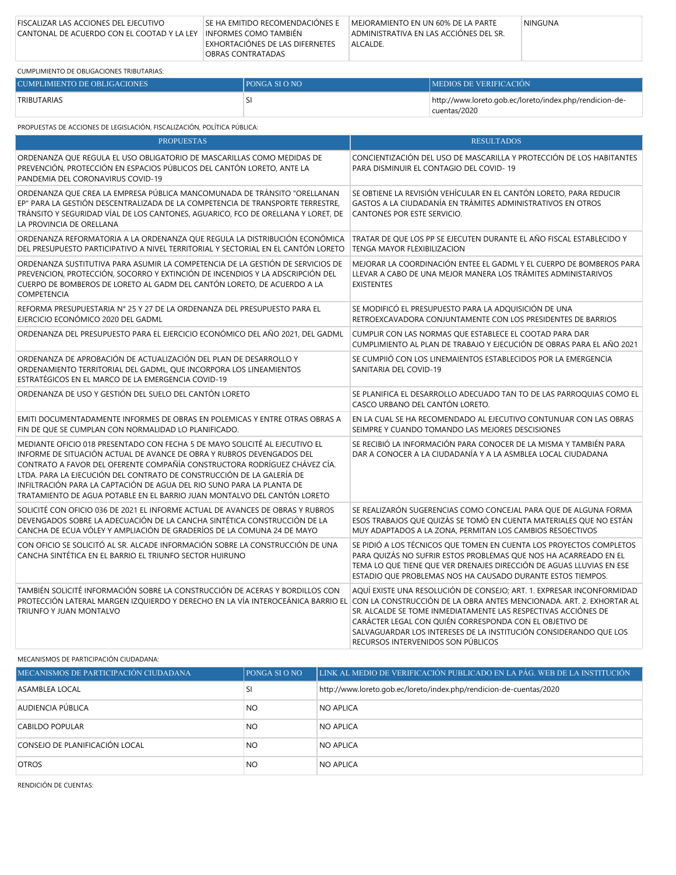| FISCALIZAR LAS ACCIONES DEL EJECUTIVO                             | SE HA EMITIDO RECOMENDACIÓNES E | MEJORAMIENTO EN UN 60% DE LA PARTE     | <b>NINGUNA</b> |
|-------------------------------------------------------------------|---------------------------------|----------------------------------------|----------------|
| CANTONAL DE ACUERDO CON EL COOTAD Y LA LEY HINFORMES COMO TAMBIÉN |                                 | ADMINISTRATIVA EN LAS ACCIÓNES DEL SR. |                |
|                                                                   | EXHORTACIÓNES DE LAS DIFERNETES | ALCALDE.                               |                |
|                                                                   | OBRAS CONTRATADAS               |                                        |                |

| CUMPLIMIENTO DE OBLIGACIONES TRIBUTARIAS: |                |                                                                         |
|-------------------------------------------|----------------|-------------------------------------------------------------------------|
| CUMPLIMIENTO DE OBLIGACIONES              | IPONGA SI O NO | <b>IMEDIOS DE VERIFICACION</b>                                          |
| TRIBUTARIAS                               |                | http://www.loreto.gob.ec/loreto/index.php/rendicion-de-<br>cuentas/2020 |

| PROPUESTAS DE ACCIONES DE LEGISLACIÓN, FISCALIZACIÓN, POLÍTICA PÚBLICA:                                                                                                                                                                                                                                                                                                                                                                                         |                                                                                                                                                                                                                                                                                                               |  |
|-----------------------------------------------------------------------------------------------------------------------------------------------------------------------------------------------------------------------------------------------------------------------------------------------------------------------------------------------------------------------------------------------------------------------------------------------------------------|---------------------------------------------------------------------------------------------------------------------------------------------------------------------------------------------------------------------------------------------------------------------------------------------------------------|--|
| <b>PROPUESTAS</b>                                                                                                                                                                                                                                                                                                                                                                                                                                               | <b>RESULTADOS</b>                                                                                                                                                                                                                                                                                             |  |
| ORDENANZA QUE REGULA EL USO OBLIGATORIO DE MASCARILLAS COMO MEDIDAS DE<br>PREVENCIÓN, PROTECCIÓN EN ESPACIOS PÚBLICOS DEL CANTÓN LORETO, ANTE LA<br>PANDEMIA DEL CORONAVIRUS COVID-19                                                                                                                                                                                                                                                                           | CONCIENTIZACIÓN DEL USO DE MASCARILLA Y PROTECCIÓN DE LOS HABITANTES<br>PARA DISMINUIR EL CONTAGIO DEL COVID-19                                                                                                                                                                                               |  |
| ORDENANZA QUE CREA LA EMPRESA PÚBLICA MANCOMUNADA DE TRÁNSITO "ORELLANAN<br>EP" PARA LA GESTIÓN DESCENTRALIZADA DE LA COMPETENCIA DE TRANSPORTE TERRESTRE,<br>TRÁNSITO Y SEGURIDAD VÍAL DE LOS CANTONES, AGUARICO, FCO DE ORELLANA Y LORET, DE<br>LA PROVINCIA DE ORELLANA                                                                                                                                                                                      | SE OBTIENE LA REVISIÓN VEHÍCULAR EN EL CANTÓN LORETO, PARA REDUCIR<br>GASTOS A LA CIUDADANÍA EN TRÁMITES ADMINISTRATIVOS EN OTROS<br>CANTONES POR ESTE SERVICIO.                                                                                                                                              |  |
| ORDENANZA REFORMATORIA A LA ORDENANZA QUE REGULA LA DISTRIBUCIÓN ECONÓMICA<br>DEL PRESUPUESTO PARTICIPATIVO A NIVEL TERRITORIAL Y SECTORIAL EN EL CANTÓN LORETO                                                                                                                                                                                                                                                                                                 | TRATAR DE QUE LOS PP SE EJECUTEN DURANTE EL AÑO FISCAL ESTABLECIDO Y<br>TENGA MAYOR FLEXIBILIZACION                                                                                                                                                                                                           |  |
| ORDENANZA SUSTITUTIVA PARA ASUMIR LA COMPETENCIA DE LA GESTIÓN DE SERVICIOS DE<br>PREVENCION, PROTECCIÓN, SOCORRO Y EXTINCIÓN DE INCENDIOS Y LA ADSCRIPCIÓN DEL<br>CUERPO DE BOMBEROS DE LORETO AL GADM DEL CANTÓN LORETO, DE ACUERDO A LA<br>COMPETENCIA                                                                                                                                                                                                       | MEJORAR LA COORDINACIÓN ENTEE EL GADML Y EL CUERPO DE BOMBEROS PARA<br>LLEVAR A CABO DE UNA MEJOR MANERA LOS TRÁMITES ADMINISTARIVOS<br><b>EXISTENTES</b>                                                                                                                                                     |  |
| REFORMA PRESUPUESTARIA N° 25 Y 27 DE LA ORDENANZA DEL PRESUPUESTO PARA EL<br>EJERCICIO ECONÓMICO 2020 DEL GADML                                                                                                                                                                                                                                                                                                                                                 | SE MODIFICÓ EL PRESUPUESTO PARA LA ADQUISICIÓN DE UNA<br>RETROEXCAVADORA CONJUNTAMENTE CON LOS PRESIDENTES DE BARRIOS                                                                                                                                                                                         |  |
| ORDENANZA DEL PRESUPUESTO PARA EL EJERCICIO ECONÓMICO DEL AÑO 2021, DEL GADML                                                                                                                                                                                                                                                                                                                                                                                   | CUMPLIR CON LAS NORMAS QUE ESTABLECE EL COOTAD PARA DAR<br>CUMPLIMIENTO AL PLAN DE TRABAJO Y EJECUCIÓN DE OBRAS PARA EL AÑO 2021                                                                                                                                                                              |  |
| ORDENANZA DE APROBACIÓN DE ACTUALIZACIÓN DEL PLAN DE DESARROLLO Y<br>ORDENAMIENTO TERRITORIAL DEL GADML, QUE INCORPORA LOS LINEAMIENTOS<br>ESTRATÉGICOS EN EL MARCO DE LA EMERGENCIA COVID-19                                                                                                                                                                                                                                                                   | SE CUMPIIÓ CON LOS LINEMAIENTOS ESTABLECIDOS POR LA EMERGENCIA<br>SANITARIA DEL COVID-19                                                                                                                                                                                                                      |  |
| ORDENANZA DE USO Y GESTIÓN DEL SUELO DEL CANTÓN LORETO                                                                                                                                                                                                                                                                                                                                                                                                          | SE PLANIFICA EL DESARROLLO ADECUADO TAN TO DE LAS PARROQUIAS COMO EL<br>CASCO URBANO DEL CANTÓN LORETO.                                                                                                                                                                                                       |  |
| EMITI DOCUMENTADAMENTE INFORMES DE OBRAS EN POLEMICAS Y ENTRE OTRAS OBRAS A<br>FIN DE QUE SE CUMPLAN CON NORMALIDAD LO PLANIFICADO.                                                                                                                                                                                                                                                                                                                             | EN LA CUAL SE HA RECOMENDADO AL EJECUTIVO CONTUNUAR CON LAS OBRAS<br>SEIMPRE Y CUANDO TOMANDO LAS MEJORES DESCISIONES                                                                                                                                                                                         |  |
| MEDIANTE OFICIO 018 PRESENTADO CON FECHA 5 DE MAYO SOLICITÉ AL EJECUTIVO EL<br>INFORME DE SITUACIÓN ACTUAL DE AVANCE DE OBRA Y RUBROS DEVENGADOS DEL<br>CONTRATO A FAVOR DEL OFERENTE COMPAÑÍA CONSTRUCTORA RODRÍGUEZ CHÁVEZ CÍA.<br>LTDA. PARA LA EJECUCIÓN DEL CONTRATO DE CONSTRUCCIÓN DE LA GALERÍA DE<br>INFILTRACIÓN PARA LA CAPTACIÓN DE AGUA DEL RIO SUNO PARA LA PLANTA DE<br>TRATAMIENTO DE AGUA POTABLE EN EL BARRIO JUAN MONTALVO DEL CANTÓN LORETO | SE RECIBIÓ LA INFORMACIÓN PARA CONOCER DE LA MISMA Y TAMBIÉN PARA<br>DAR A CONOCER A LA CIUDADANÍA Y A LA ASMBLEA LOCAL CIUDADANA                                                                                                                                                                             |  |
| SOLICITÉ CON OFICIO 036 DE 2021 EL INFORME ACTUAL DE AVANCES DE OBRAS Y RUBROS<br>DEVENGADOS SOBRE LA ADECUACIÓN DE LA CANCHA SINTÉTICA CONSTRUCCIÓN DE LA<br>CANCHA DE ECUA VÓLEY Y AMPLIACIÓN DE GRADERÍOS DE LA COMUNA 24 DE MAYO                                                                                                                                                                                                                            | SE REALIZARÓN SUGERENCIAS COMO CONCEJAL PARA QUE DE ALGUNA FORMA<br>ESOS TRABAJOS QUE QUIZÁS SE TOMÓ EN CUENTA MATERIALES QUE NO ESTÁN<br>MUY ADAPTADOS A LA ZONA, PERMITAN LOS CAMBIOS RESOECTIVOS                                                                                                           |  |
| CON OFICIO SE SOLICITÓ AL SR. ALCADE INFORMACIÓN SOBRE LA CONSTRUCCIÓN DE UNA<br>CANCHA SINTÉTICA EN EL BARRIO EL TRIUNFO SECTOR HUIRUNO                                                                                                                                                                                                                                                                                                                        | SE PIDIÓ A LOS TÉCNICOS QUE TOMEN EN CUENTA LOS PROYECTOS COMPLETOS<br>PARA QUIZÁS NO SUFRIR ESTOS PROBLEMAS QUE NOS HA ACARREADO EN EL<br>TEMA LO QUE TIENE QUE VER DRENAJES DIRECCIÓN DE AGUAS LLUVIAS EN ESE<br>ESTADIO QUE PROBLEMAS NOS HA CAUSADO DURANTE ESTOS TIEMPOS.                                |  |
| TAMBIÉN SOLICITÉ INFORMACIÓN SOBRE LA CONSTRUCCIÓN DE ACERAS Y BORDILLOS CON<br>PROTECCIÓN LATERAL MARGEN IZQUIERDO Y DERECHO EN LA VÍA INTEROCEÁNICA BARRIO EL CON LA CONSTRUCCIÓN DE LA OBRA ANTES MENCIONADA. ART. 2. EXHORTAR AL<br>TRIUNFO Y JUAN MONTALVO                                                                                                                                                                                                 | AQUÍ EXISTE UNA RESOLUCIÓN DE CONSEJO; ART. 1. EXPRESAR INCONFORMIDAD<br>SR. ALCALDE SE TOME INMEDIATAMENTE LAS RESPECTIVAS ACCIÓNES DE<br>CARÁCTER LEGAL CON QUIÉN CORRESPONDA CON EL OBJETIVO DE<br>SALVAGUARDAR LOS INTERESES DE LA INSTITUCIÓN CONSIDERANDO QUE LOS<br>RECURSOS INTERVENIDOS SON PÚBLICOS |  |

MECANISMOS DE PARTICIPACIÓN CIUDADANA:

| MECANISMOS DE PARTICIPACIÓN CIUDADANA | <b>PONGA SI O NO</b> | LINK AL MEDIO DE VERIFICACIÓN PUBLICADO EN LA PÁG. WEB DE LA INSTITUCIÓN |
|---------------------------------------|----------------------|--------------------------------------------------------------------------|
| ASAMBLEA LOCAL                        | SI                   | http://www.loreto.gob.ec/loreto/index.php/rendicion-de-cuentas/2020      |
| AUDIENCIA PÚBLICA                     | NO.                  | <b>NO APLICA</b>                                                         |
| <b>CABILDO POPULAR</b>                | <b>NO</b>            | <b>NO APLICA</b>                                                         |
| CONSEJO DE PLANIFICACIÓN LOCAL        | NO.                  | NO APLICA                                                                |
| <b>OTROS</b>                          | NO.                  | <b>NO APLICA</b>                                                         |

RENDICIÓN DE CUENTAS: